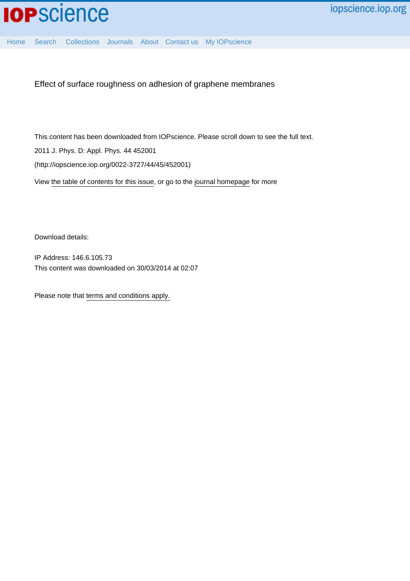[Home](http://iopscience.iop.org/) [Search](http://iopscience.iop.org/search) [Collections](http://iopscience.iop.org/collections) [Journals](http://iopscience.iop.org/journals) [About](http://iopscience.iop.org/page/aboutioppublishing) [Contact us](http://iopscience.iop.org/contact) [My IOPscience](http://iopscience.iop.org/myiopscience)

Effect of surface roughness on adhesion of graphene membranes

This content has been downloaded from IOPscience. Please scroll down to see the full text. 2011 J. Phys. D: Appl. Phys. 44 452001 (http://iopscience.iop.org/0022-3727/44/45/452001)

View [the table of contents for this issue](http://iopscience.iop.org/0022-3727/44/45), or go to the [journal homepage](http://iopscience.iop.org/0022-3727) for more

Download details:

IP Address: 146.6.105.73 This content was downloaded on 30/03/2014 at 02:07

Please note that [terms and conditions apply.](iopscience.iop.org/page/terms)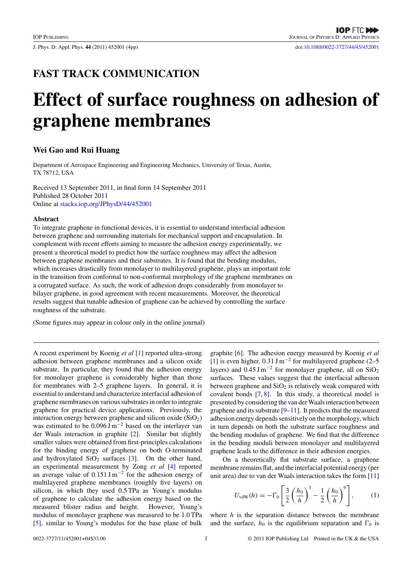J. Phys. D: Appl. Phys. **44** (2011) 452001 (4pp) [doi:10.1088/0022-3727/44/45/452001](http://dx.doi.org/10.1088/0022-3727/44/45/452001)

# **FAST TRACK COMMUNICATION**

# **Effect of surface roughness on adhesion of graphene membranes**

## **Wei Gao and Rui Huang**

Department of Aerospace Engineering and Engineering Mechanics, University of Texas, Austin, TX 78712, USA

Received 13 September 2011, in final form 14 September 2011 Published 28 October 2011 Online at [stacks.iop.org/JPhysD/44/452001](http://stacks.iop.org/JPhysD/44/452001)

#### **Abstract**

To integrate graphene in functional devices, it is essential to understand interfacial adhesion between graphene and surrounding materials for mechanical support and encapsulation. In complement with recent efforts aiming to measure the adhesion energy experimentally, we present a theoretical model to predict how the surface roughness may affect the adhesion between graphene membranes and their substrates. It is found that the bending modulus, which increases drastically from monolayer to multilayered graphene, plays an important role in the transition from conformal to non-conformal morphology of the graphene membranes on a corrugated surface. As such, the work of adhesion drops considerably from monolayer to bilayer graphene, in good agreement with recent measurements. Moreover, the theoretical results suggest that tunable adhesion of graphene can be achieved by controlling the surface roughness of the substrate.

(Some figures may appear in colour only in the online journal)

A recent experiment by Koenig *et al* [\[1\]](#page-4-0) reported ultra-strong adhesion between graphene membranes and a silicon oxide substrate. In particular, they found that the adhesion energy for monolayer graphene is considerably higher than those for membranes with 2–5 graphene layers. In general, it is essential to understand and characterize interfacial adhesion of graphene membranes on various substrates in order to integrate graphene for practical device applications. Previously, the interaction energy between graphene and silicon oxide  $(SiO<sub>2</sub>)$ was estimated to be  $0.096 \text{ J m}^{-2}$  based on the interlayer van der Waals interaction in graphite [\[2\]](#page-4-0). Similar but slightly smaller values were obtained from first-principles calculations for the binding energy of graphene on both O-terminated and hydroxylated  $SiO<sub>2</sub>$  surfaces [\[3\]](#page-4-0). On the other hand, an experimental measurement by Zong *et al* [\[4\]](#page-4-0) reported an average value of  $0.151 \,\mathrm{J m^{-2}}$  for the adhesion energy of multilayered graphene membranes (roughly five layers) on silicon, in which they used 0.5 TPa as Young's modulus of graphene to calculate the adhesion energy based on the measured blister radius and height. However, Young's modulus of monolayer graphene was measured to be 1.0 TPa [\[5\]](#page-4-0), similar to Young's modulus for the base plane of bulk

graphite [\[6\]](#page-4-0). The adhesion energy measured by Koenig *et al* [\[1\]](#page-4-0) is even higher,  $0.31 \text{ J m}^{-2}$  for multilayered graphene (2–5) layers) and  $0.45 \text{ J m}^{-2}$  for monolayer graphene, all on SiO<sub>2</sub> surfaces. These values suggest that the interfacial adhesion between graphene and  $SiO<sub>2</sub>$  is relatively weak compared with covalent bonds [\[7,](#page-4-0) [8\]](#page-4-0). In this study, a theoretical model is presented by considering the van derWaals interaction between graphene and its substrate  $[9-11]$ . It predicts that the measured adhesion energy depends sensitively on the morphology, which in turn depends on both the substrate surface roughness and the bending modulus of graphene. We find that the difference in the bending moduli between monolayer and multilayered graphene leads to the difference in their adhesion energies.

On a theoretically flat substrate surface, a graphene membrane remains flat, and the interfacial potential energy (per unit area) due to van der Waals interaction takes the form [\[11\]](#page-4-0)

$$
U_{\text{vdW}}(h) = -\Gamma_0 \left[ \frac{3}{2} \left( \frac{h_0}{h} \right)^3 - \frac{1}{2} \left( \frac{h_0}{h} \right)^9 \right],\tag{1}
$$

where *h* is the separation distance between the membrane and the surface,  $h_0$  is the equilibrium separation and  $\Gamma_0$  is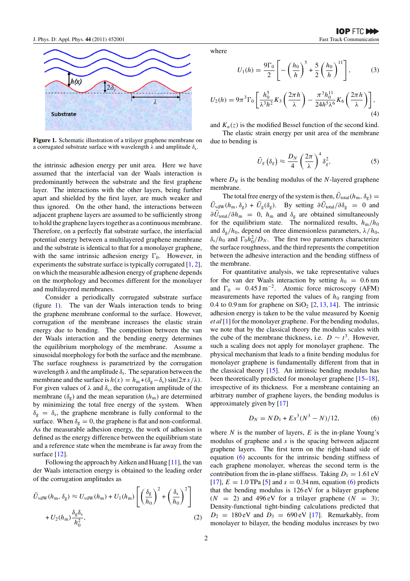

**Figure 1.** Schematic illustration of a trilayer graphene membrane on a corrugated substrate surface with wavelength  $λ$  and amplitude  $δ<sub>s</sub>$ .

the intrinsic adhesion energy per unit area. Here we have assumed that the interfacial van der Waals interaction is predominantly between the substrate and the first graphene layer. The interactions with the other layers, being further apart and shielded by the first layer, are much weaker and thus ignored. On the other hand, the interactions between adjacent graphene layers are assumed to be sufficiently strong to hold the graphene layers together as a continuous membrane. Therefore, on a perfectly flat substrate surface, the interfacial potential energy between a multilayered graphene membrane and the substrate is identical to that for a monolayer graphene, with the same intrinsic adhesion energy  $\Gamma_0$ . However, in experiments the substrate surface is typically corrugated [\[1,](#page-4-0) [2\]](#page-4-0), on which the measurable adhesion energy of graphene depends on the morphology and becomes different for the monolayer and multilayered membranes.

Consider a periodically corrugated substrate surface (figure 1). The van der Waals interaction tends to bring the graphene membrane conformal to the surface. However, corrugation of the membrane increases the elastic strain energy due to bending. The competition between the van der Waals interaction and the bending energy determines the equilibrium morphology of the membrane. Assume a sinusoidal morphology for both the surface and the membrane. The surface roughness is parametrized by the corrugation wavelength  $\lambda$  and the amplitude  $\delta_s$ . The separation between the membrane and the surface is  $h(x) = h_m + (\delta_g - \delta_s) \sin(2\pi x/\lambda)$ . For given values of  $\lambda$  and  $\delta_s$ , the corrugation amplitude of the membrane  $(\delta_g)$  and the mean separation  $(h_m)$  are determined by minimizing the total free energy of the system. When  $\delta_g = \delta_s$ , the graphene membrane is fully conformal to the surface. When  $\delta_{\varrho} = 0$ , the graphene is flat and non-conformal. As the measurable adhesion energy, the work of adhesion is defined as the energy difference between the equilibrium state and a reference state when the membrane is far away from the surface [\[12\]](#page-4-0).

Following the approach by Aitken and Huang [\[11\]](#page-4-0), the van der Waals interaction energy is obtained to the leading order of the corrugation amplitudes as

$$
\tilde{U}_{\text{vdW}}(h_{\text{m}}, \delta_{\text{g}}) \approx U_{\text{vdW}}(h_{\text{m}}) + U_{1}(h_{\text{m}}) \left[ \left( \frac{\delta_{\text{g}}}{h_{0}} \right)^{2} + \left( \frac{\delta_{\text{s}}}{h_{0}} \right)^{2} \right] + U_{2}(h_{\text{m}}) \frac{\delta_{\text{g}} \delta_{\text{s}}}{h_{0}^{2}},
$$
\n(2)

where

$$
U_1(h) = \frac{9\Gamma_0}{2} \left[ -\left(\frac{h_0}{h}\right)^5 + \frac{5}{2}\left(\frac{h_0}{h}\right)^{11} \right],
$$
 (3)

$$
U_2(h) = 9\pi^3 \Gamma_0 \left[ \frac{h_0^5}{\lambda^3 h^2} K_3 \left( \frac{2\pi h}{\lambda} \right) - \frac{\pi^3 h_0^{11}}{24 h^5 \lambda^6} K_6 \left( \frac{2\pi h}{\lambda} \right) \right],
$$
\n(4)

and  $K_n(z)$  is the modified Bessel function of the second kind. The elastic strain energy per unit area of the membrane due to bending is

$$
\tilde{U}_g\left(\delta_g\right) \approx \frac{D_N}{4} \left(\frac{2\pi}{\lambda}\right)^4 \delta_g^2,\tag{5}
$$

where  $D_N$  is the bending modulus of the  $N$ -layered graphene membrane.

The total free energy of the system is then,  $\tilde{U}_{total}(h_m, \delta_g)$  =  $\tilde{U}_{\text{vdW}}(h_m, \delta_g) + \tilde{U}_g(\delta_g)$ . By setting  $\partial \tilde{U}_{\text{total}}/\partial \delta_g = 0$  and  $\partial \tilde{U}_{total}/\partial h_{m}$  = 0,  $h_{m}$  and  $\delta_{g}$  are obtained simultaneously for the equilibrium state. The normalized results,  $h_{\rm m}/h_0$ and  $\delta_g/h_0$ , depend on three dimensionless parameters,  $\lambda/h_0$ ,  $\delta_s/h_0$  and  $\Gamma_0 h_0^2/D_N$ . The first two parameters characterize the surface roughness, and the third represents the competition between the adhesive interaction and the bending stiffness of the membrane.

For quantitative analysis, we take representative values for the van der Waals interaction by setting  $h_0 = 0.6$  nm and  $\Gamma_0 = 0.45 \,\mathrm{J m^{-2}}$ . Atomic force microscopy (AFM) measurements have reported the values of  $h_0$  ranging from 0.4 to 0.9 nm for graphene on  $SiO<sub>2</sub>$  [\[2,](#page-4-0) [13,](#page-4-0) [14\]](#page-4-0). The intrinsic adhesion energy is taken to be the value measured by Koenig *et al* [\[1\]](#page-4-0) for the monolayer graphene. For the bending modulus, we note that by the classical theory the modulus scales with the cube of the membrane thickness, i.e.  $D \sim t^3$ . However, such a scaling does not apply for monolayer graphene. The physical mechanism that leads to a finite bending modulus for monolayer graphene is fundamentally different from that in the classical theory  $[15]$ . An intrinsic bending modulus has been theoretically predicted for monolayer graphene [\[15–18\]](#page-4-0), irrespective of its thickness. For a membrane containing an arbitrary number of graphene layers, the bending modulus is approximately given by [\[17\]](#page-4-0)

$$
D_N = ND_1 + Es^3(N^3 - N)/12, \tag{6}
$$

where  $N$  is the number of layers,  $E$  is the in-plane Young's modulus of graphene and *s* is the spacing between adjacent graphene layers. The first term on the right-hand side of equation (6) accounts for the intrinsic bending stiffness of each graphene monolayer, whereas the second term is the contribution from the in-plane stiffness. Taking  $D_1 = 1.61 \text{ eV}$ [\[17\]](#page-4-0),  $E = 1.0$  TPa [\[5\]](#page-4-0) and  $s = 0.34$  nm, equation (6) predicts that the bending modulus is 126 eV for a bilayer graphene  $(N = 2)$  and 496 eV for a trilayer graphene  $(N = 3)$ ; Density-functional tight-binding calculations predicted that  $D_2 = 180 \text{ eV}$  and  $D_3 = 690 \text{ eV}$  [\[17\]](#page-4-0). Remarkably, from monolayer to bilayer, the bending modulus increases by two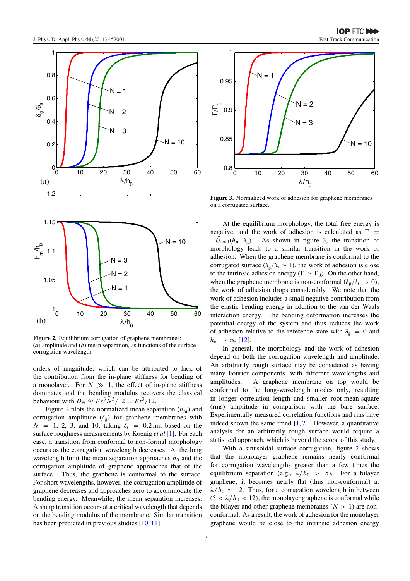

**Figure 2.** Equilibrium corrugation of graphene membranes: (*a*) amplitude and (*b*) mean separation, as functions of the surface corrugation wavelength.

orders of magnitude, which can be attributed to lack of the contribution from the in-plane stiffness for bending of a monolayer. For  $N \gg 1$ , the effect of in-plane stiffness dominates and the bending modulus recovers the classical behaviour with  $D_N \approx E s^3 N^3 / 12 = E t^3 / 12$ .

Figure 2 plots the normalized mean separation  $(h<sub>m</sub>)$  and corrugation amplitude  $(\delta_g)$  for graphene membranes with  $N = 1, 2, 3,$  and 10, taking  $\delta_s = 0.2$  nm based on the surface roughness measurements by Koenig *et al* [\[1\]](#page-4-0). For each case, a transition from conformal to non-formal morphology occurs as the corrugation wavelength decreases. At the long wavelength limit the mean separation approaches  $h_0$  and the corrugation amplitude of graphene approaches that of the surface. Thus, the graphene is conformal to the surface. For short wavelengths, however, the corrugation amplitude of graphene decreases and approaches zero to accommodate the bending energy. Meanwhile, the mean separation increases. A sharp transition occurs at a critical wavelength that depends on the bending modulus of the membrane. Similar transition has been predicted in previous studies [\[10,](#page-4-0) [11\]](#page-4-0).



 $λ/h_0$ 

**Figure 3.** Normalized work of adhesion for graphene membranes on a corrugated surface.

At the equilibrium morphology, the total free energy is negative, and the work of adhesion is calculated as  $\Gamma$  =  $-\tilde{U}_{total}(h_m, \delta_g)$ . As shown in figure 3, the transition of morphology leads to a similar transition in the work of adhesion. When the graphene membrane is conformal to the corrugated surface ( $\delta_{\rm g}/\delta_{\rm s} \sim 1$ ), the work of adhesion is close to the intrinsic adhesion energy ( $\Gamma \sim \Gamma_0$ ). On the other hand, when the graphene membrane is non-conformal ( $\delta_g/\delta_s \rightarrow 0$ ), the work of adhesion drops considerably. We note that the work of adhesion includes a small negative contribution from the elastic bending energy in addition to the van der Waals interaction energy. The bending deformation increases the potential energy of the system and thus reduces the work of adhesion relative to the reference state with  $\delta_g = 0$  and  $h_{\rm m} \rightarrow \infty$  [\[12\]](#page-4-0).

In general, the morphology and the work of adhesion depend on both the corrugation wavelength and amplitude. An arbitrarily rough surface may be considered as having many Fourier components, with different wavelengths and amplitudes. A graphene membrane on top would be conformal to the long-wavelength modes only, resulting in longer correlation length and smaller root-mean-square (rms) amplitude in comparison with the bare surface. Experimentally measured correlation functions and rms have indeed shown the same trend  $[1, 2]$  $[1, 2]$  $[1, 2]$ . However, a quantitative analysis for an arbitrarily rough surface would require a statistical approach, which is beyond the scope of this study.

With a sinusoidal surface corrugation, figure 2 shows that the monolayer graphene remains nearly conformal for corrugation wavelengths greater than a few times the equilibrium separation (e.g.,  $\lambda/h_0 > 5$ ). For a bilayer graphene, it becomes nearly flat (thus non-conformal) at  $\lambda/h_0 \sim 12$ . Thus, for a corrugation wavelength in between  $(5 < \lambda/h_0 < 12)$ , the monolayer graphene is conformal while the bilayer and other graphene membranes  $(N > 1)$  are nonconformal. As a result, the work of adhesion for the monolayer graphene would be close to the intrinsic adhesion energy